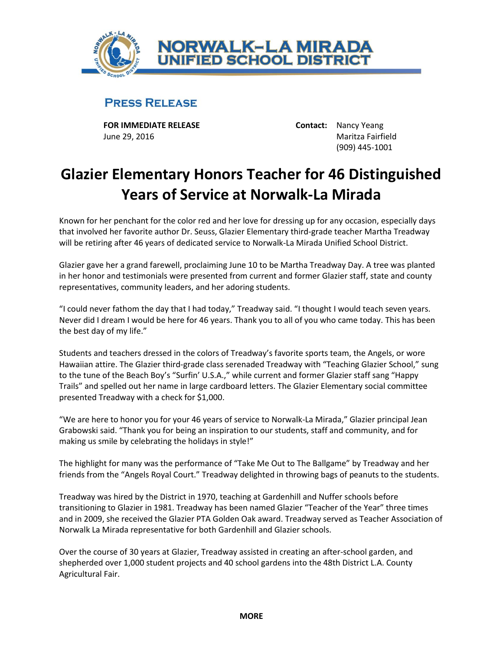

## **PRESS RELEASE**

**FOR IMMEDIATE RELEASE Contact:** Nancy Yeang June 29, 2016 Maritza Fairfield

(909) 445-1001

## **Glazier Elementary Honors Teacher for 46 Distinguished Years of Service at Norwalk-La Mirada**

Known for her penchant for the color red and her love for dressing up for any occasion, especially days that involved her favorite author Dr. Seuss, Glazier Elementary third-grade teacher Martha Treadway will be retiring after 46 years of dedicated service to Norwalk-La Mirada Unified School District.

Glazier gave her a grand farewell, proclaiming June 10 to be Martha Treadway Day. A tree was planted in her honor and testimonials were presented from current and former Glazier staff, state and county representatives, community leaders, and her adoring students.

"I could never fathom the day that I had today," Treadway said. "I thought I would teach seven years. Never did I dream I would be here for 46 years. Thank you to all of you who came today. This has been the best day of my life."

Students and teachers dressed in the colors of Treadway's favorite sports team, the Angels, or wore Hawaiian attire. The Glazier third-grade class serenaded Treadway with "Teaching Glazier School," sung to the tune of the Beach Boy's "Surfin' U.S.A.," while current and former Glazier staff sang "Happy Trails" and spelled out her name in large cardboard letters. The Glazier Elementary social committee presented Treadway with a check for \$1,000.

"We are here to honor you for your 46 years of service to Norwalk-La Mirada," Glazier principal Jean Grabowski said. "Thank you for being an inspiration to our students, staff and community, and for making us smile by celebrating the holidays in style!"

The highlight for many was the performance of "Take Me Out to The Ballgame" by Treadway and her friends from the "Angels Royal Court." Treadway delighted in throwing bags of peanuts to the students.

Treadway was hired by the District in 1970, teaching at Gardenhill and Nuffer schools before transitioning to Glazier in 1981. Treadway has been named Glazier "Teacher of the Year" three times and in 2009, she received the Glazier PTA Golden Oak award. Treadway served as Teacher Association of Norwalk La Mirada representative for both Gardenhill and Glazier schools.

Over the course of 30 years at Glazier, Treadway assisted in creating an after-school garden, and shepherded over 1,000 student projects and 40 school gardens into the 48th District L.A. County Agricultural Fair.